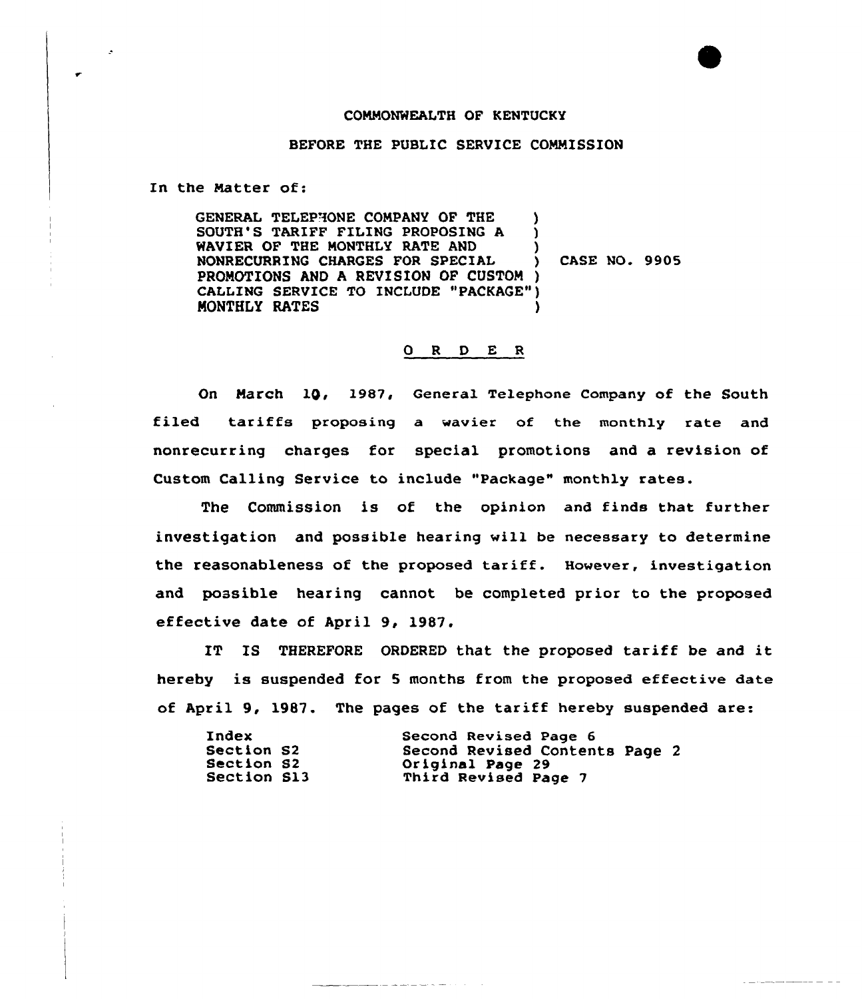## CONNONWEALTH OF KENTUCKY

## BEFORE THE PUBLIC SERVICE COMMISSION

In the Natter of:

GENERAL TELEPHONE CONPANY OF THE ) SOUTH'S TARIFF FILING PROPOSING A ) WAVIER OF THE MONTHLY RATE AND  $\overrightarrow{y}$ <br>NONRECURRING CHARGES FOR SPECIAL NONRECURRXNG CHARGES FOR SPECIAL ) CASE NO. 9905 PROMOTIONS AND A REVISION OF CUSTOM ) CALLING SERVICE TO INCLUDE "PACKAGE" ) MONTHLY RATES

## 0 <sup>R</sup> <sup>D</sup> E <sup>R</sup>

On March 10, 1987, General Telephone Company of the South filed tariffs proposing a wavier of the monthly rate and nonrecurring charges for special promotions and a revision of Custom Calling Service to include "Package" monthly rates.

The Commission is of the opinion and finds that further investigation and possible hearing will be necessary to determine the reasonableness of the proposed tariff. However, investigation and possible hearing cannot be completed prior to the proposed effective date of April 9, 1987.

IT IS THEREFORE ORDERED that the proposed tariff be and it hereby is suspended for 5 months from the proposed effective date of April 9, 1987. The pages of the tariff hereby suspended are:

| Index       | Second Revised Page 6          |
|-------------|--------------------------------|
| Section S2  | Second Revised Contents Page 2 |
| Section S2  | Original Page 29               |
| Section S13 | Third Revised Page 7           |